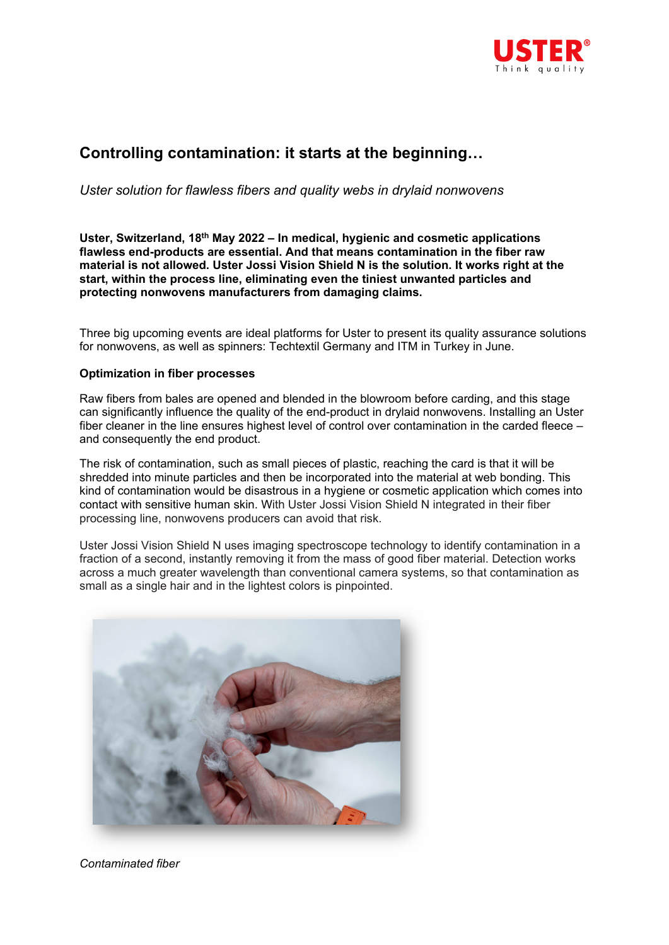

# **Controlling contamination: it starts at the beginning…**

*Uster solution for flawless fibers and quality webs in drylaid nonwovens* 

**Uster, Switzerland, 18th May 2022 – In medical, hygienic and cosmetic applications flawless end-products are essential. And that means contamination in the fiber raw material is not allowed. Uster Jossi Vision Shield N is the solution. It works right at the start, within the process line, eliminating even the tiniest unwanted particles and protecting nonwovens manufacturers from damaging claims.** 

Three big upcoming events are ideal platforms for Uster to present its quality assurance solutions for nonwovens, as well as spinners: Techtextil Germany and ITM in Turkey in June.

### **Optimization in fiber processes**

Raw fibers from bales are opened and blended in the blowroom before carding, and this stage can significantly influence the quality of the end-product in drylaid nonwovens. Installing an Uster fiber cleaner in the line ensures highest level of control over contamination in the carded fleece – and consequently the end product.

The risk of contamination, such as small pieces of plastic, reaching the card is that it will be shredded into minute particles and then be incorporated into the material at web bonding. This kind of contamination would be disastrous in a hygiene or cosmetic application which comes into contact with sensitive human skin. With Uster Jossi Vision Shield N integrated in their fiber processing line, nonwovens producers can avoid that risk.

Uster Jossi Vision Shield N uses imaging spectroscope technology to identify contamination in a fraction of a second, instantly removing it from the mass of good fiber material. Detection works across a much greater wavelength than conventional camera systems, so that contamination as small as a single hair and in the lightest colors is pinpointed.



*Contaminated fiber*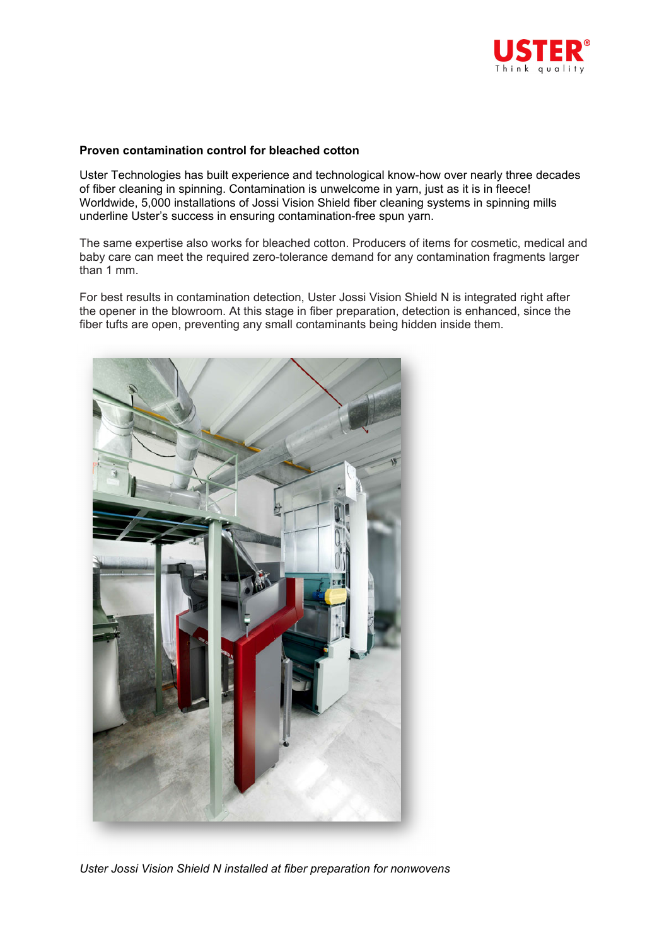

### **Proven contamination control for bleached cotton**

Uster Technologies has built experience and technological know-how over nearly three decades of fiber cleaning in spinning. Contamination is unwelcome in yarn, just as it is in fleece! Worldwide, 5,000 installations of Jossi Vision Shield fiber cleaning systems in spinning mills underline Uster's success in ensuring contamination-free spun yarn.

The same expertise also works for bleached cotton. Producers of items for cosmetic, medical and baby care can meet the required zero-tolerance demand for any contamination fragments larger than 1 mm.

For best results in contamination detection, Uster Jossi Vision Shield N is integrated right after the opener in the blowroom. At this stage in fiber preparation, detection is enhanced, since the fiber tufts are open, preventing any small contaminants being hidden inside them.



*Uster Jossi Vision Shield N installed at fiber preparation for nonwovens*